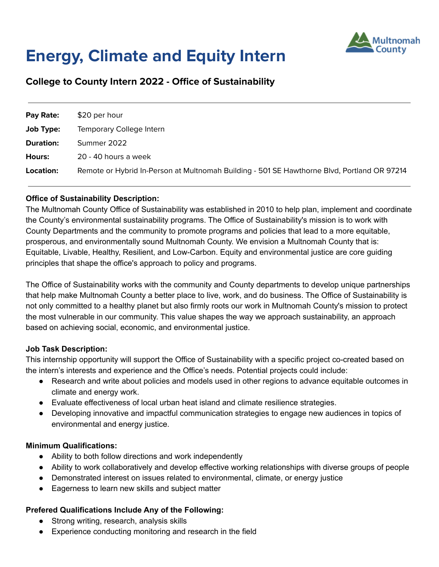

# **Energy, Climate and Equity Intern**

# **College to County Intern 2022 - Office of Sustainability**

| Pay Rate:        | \$20 per hour                                                                               |
|------------------|---------------------------------------------------------------------------------------------|
| Job Type:        | Temporary College Intern                                                                    |
| <b>Duration:</b> | Summer 2022                                                                                 |
| Hours:           | 20 - 40 hours a week                                                                        |
| Location:        | Remote or Hybrid In-Person at Multnomah Building - 501 SE Hawthorne Blvd, Portland OR 97214 |

# **Office of Sustainability Description:**

The Multnomah County Office of Sustainability was established in 2010 to help plan, implement and coordinate the County's environmental sustainability programs. The Office of Sustainability's mission is to work with County Departments and the community to promote programs and policies that lead to a more equitable, prosperous, and environmentally sound Multnomah County. We envision a Multnomah County that is: Equitable, Livable, Healthy, Resilient, and Low-Carbon. Equity and environmental justice are core guiding principles that shape the office's approach to policy and programs.

The Office of Sustainability works with the community and County departments to develop unique partnerships that help make Multnomah County a better place to live, work, and do business. The Office of Sustainability is not only committed to a healthy planet but also firmly roots our work in Multnomah County's mission to protect the most vulnerable in our community. This value shapes the way we approach sustainability, an approach based on achieving social, economic, and environmental justice.

## **Job Task Description:**

This internship opportunity will support the Office of Sustainability with a specific project co-created based on the intern's interests and experience and the Office's needs. Potential projects could include:

- Research and write about policies and models used in other regions to advance equitable outcomes in climate and energy work.
- Evaluate effectiveness of local urban heat island and climate resilience strategies.
- Developing innovative and impactful communication strategies to engage new audiences in topics of environmental and energy justice.

# **Minimum Qualifications:**

- Ability to both follow directions and work independently
- Ability to work collaboratively and develop effective working relationships with diverse groups of people
- Demonstrated interest on issues related to environmental, climate, or energy justice
- Eagerness to learn new skills and subject matter

## **Prefered Qualifications Include Any of the Following:**

- Strong writing, research, analysis skills
- Experience conducting monitoring and research in the field